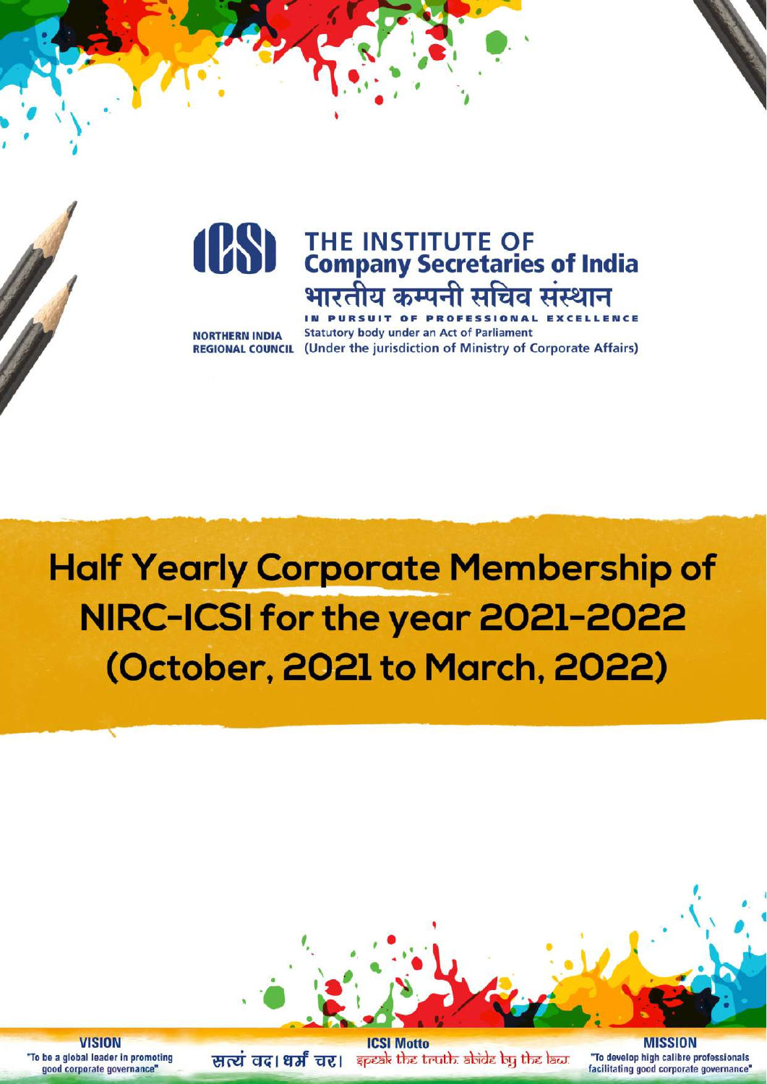

**NORTHERN INDIA** 

**Statutory body under an Act of Parliament REGIONAL COUNCIL** (Under the jurisdiction of Ministry of Corporate Affairs)

# **Half Yearly Corporate Membership of** NIRC-ICSI for the year 2021-2022 (October, 2021 to March, 2022)



**VISION** "To be a global leader in promoting good corporate governance"

**ICSI Motto** सत्यं वद। धर्मं चर। कृष्क्षे the truth abide by the law.

**MISSION** "To develop high calibre professionals facilitating good corporate governance"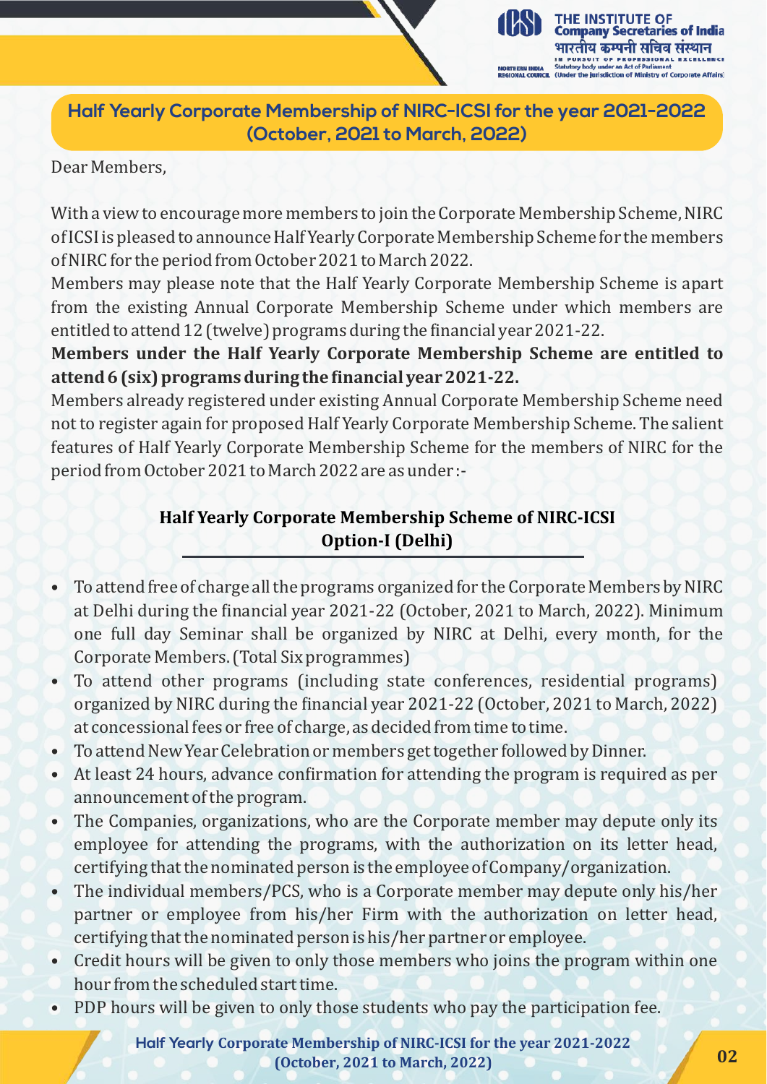**Half Yearly Corporate Membership of NIRC-ICSI for the year 2021-2022 (October, 2021 to March, 2022)**

THE INSTITUTE OF

**Company Secretaries of India** भारतीय कम्पनी सचिव संस्थान

risdiction of Ministry of Corporate Affairs)

Dear Members,

With a view to encourage more members to join the Corporate Membership Scheme, NIRC of ICSI is pleased to announce Half Yearly Corporate Membership Scheme for the members of NIRC for the period from October 2021 to March 2022.

Members may please note that the Half Yearly Corporate Membership Scheme is apart from the existing Annual Corporate Membership Scheme under which members are entitled to attend 12 (twelve) programs during the inancial year 2021-22.

**Members under the Half Yearly Corporate Membership Scheme are entitled to attend 6 (six) programs during the inancial year 2021-22.**

Members already registered under existing Annual Corporate Membership Scheme need not to register again for proposed Half Yearly Corporate Membership Scheme. The salient features of Half Yearly Corporate Membership Scheme for the members of NIRC for the period from October 2021 to March 2022 are as under :-

#### **Half Yearly Corporate Membership Scheme of NIRC-ICSI Option-I (Delhi)**

- To attend free of charge all the programs organized for the Corporate Members by NIRC at Delhi during the financial year 2021-22 (October, 2021 to March, 2022). Minimum one full day Seminar shall be organized by NIRC at Delhi, every month, for the Corporate Members. (Total Six programmes)
- To attend other programs (including state conferences, residential programs) organized by NIRC during the financial year 2021-22 (October, 2021 to March, 2022) at concessional fees or free of charge, as decided from time to time.
- To attend New Year Celebration or members get together followed by Dinner.
- At least 24 hours, advance confirmation for attending the program is required as per announcement of the program.
- The Companies, organizations, who are the Corporate member may depute only its employee for attending the programs, with the authorization on its letter head, certifying that the nominated person is the employee of Company/organization.
- The individual members/PCS, who is a Corporate member may depute only his/her partner or employee from his/her Firm with the authorization on letter head, certifying that the nominated person is his/her partner or employee.
- Credit hours will be given to only those members who joins the program within one hour from the scheduled start time.
- PDP hours will be given to only those students who pay the participation fee.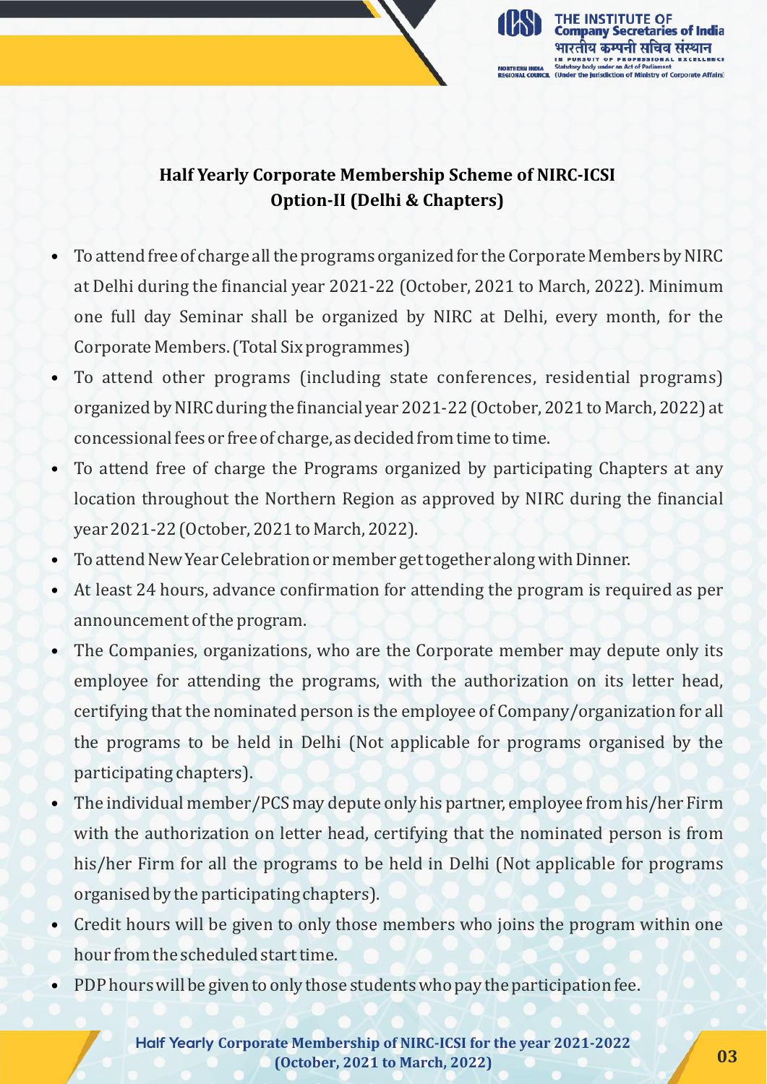

#### **Half Yearly Corporate Membership Scheme of NIRC-ICSI Option-II (Delhi & Chapters)**

- To attend free of charge all the programs organized for the Corporate Members by NIRC at Delhi during the financial year 2021-22 (October, 2021 to March, 2022). Minimum one full day Seminar shall be organized by NIRC at Delhi, every month, for the Corporate Members. (Total Six programmes)
- To attend other programs (including state conferences, residential programs) organized by NIRC during the financial year 2021-22 (October, 2021 to March, 2022) at concessional fees or free of charge, as decided from time to time.
- To attend free of charge the Programs organized by participating Chapters at any location throughout the Northern Region as approved by NIRC during the financial year 2021-22 (October, 2021 to March, 2022).
- To attend New Year Celebration or member get together along with Dinner.
- At least 24 hours, advance confirmation for attending the program is required as per announcement of the program.
- The Companies, organizations, who are the Corporate member may depute only its employee for attending the programs, with the authorization on its letter head, certifying that the nominated person is the employee of Company/organization for all the programs to be held in Delhi (Not applicable for programs organised by the participating chapters).
- The individual member/PCS may depute only his partner, employee from his/her Firm with the authorization on letter head, certifying that the nominated person is from his/her Firm for all the programs to be held in Delhi (Not applicable for programs organised by the participating chapters).
- Credit hours will be given to only those members who joins the program within one hour from the scheduled start time.
- PDP hours will be given to only those students who pay the participation fee.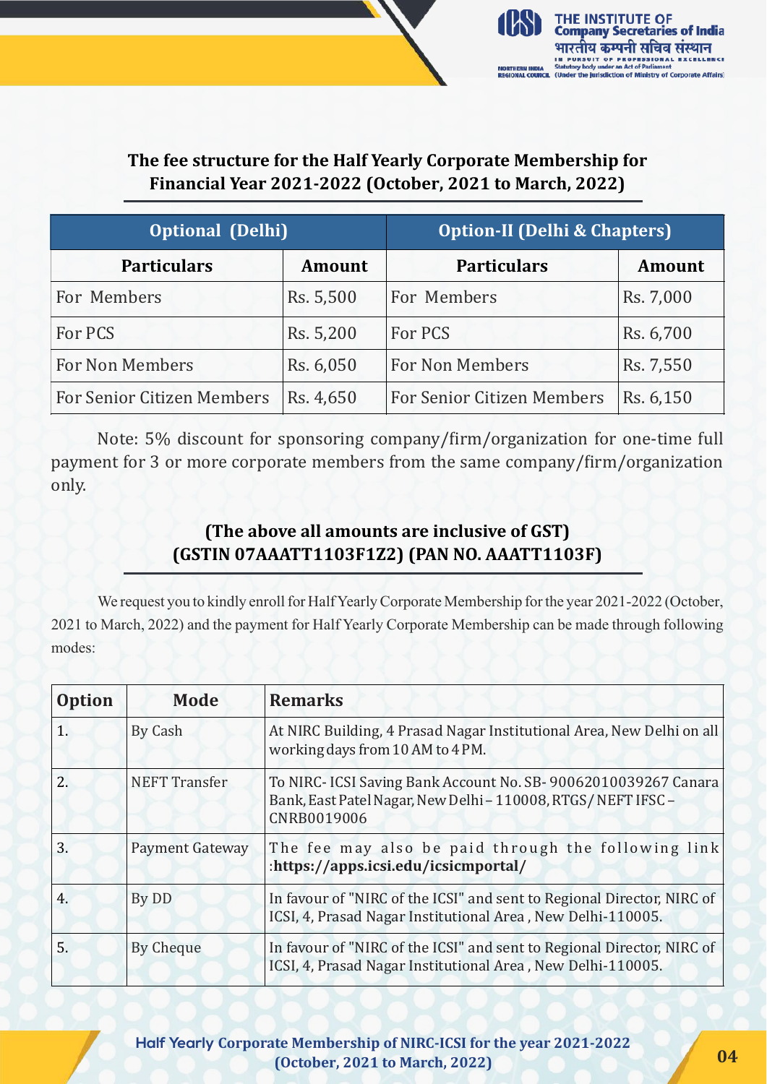

#### **The fee structure for the Half Yearly Corporate Membership for Financial Year 2021-2022 (October, 2021 to March, 2022)**

| <b>Optional (Delhi)</b>           |               | <b>Option-II (Delhi &amp; Chapters)</b> |               |
|-----------------------------------|---------------|-----------------------------------------|---------------|
| <b>Particulars</b>                | <b>Amount</b> | <b>Particulars</b>                      | <b>Amount</b> |
| For Members                       | Rs. 5,500     | For Members                             | Rs. 7,000     |
| For PCS                           | Rs. 5,200     | For PCS                                 | Rs. 6,700     |
| For Non Members                   | Rs. 6,050     | For Non Members                         | Rs. 7,550     |
| <b>For Senior Citizen Members</b> | Rs. 4,650     | <b>For Senior Citizen Members</b>       | Rs. 6,150     |

Note: 5% discount for sponsoring company/firm/organization for one-time full payment for 3 or more corporate members from the same company/firm/organization only.

#### **(The above all amounts are inclusive of GST) (GSTIN 07AAATT1103F1Z2) (PAN NO. AAATT1103F)**

We request you to kindly enroll for Half Yearly Corporate Membership for the year 2021-2022 (October, 2021 to March, 2022) and the payment for Half Yearly Corporate Membership can be made through following modes:

| <b>Option</b> | Mode                   | <b>Remarks</b>                                                                                                                                |
|---------------|------------------------|-----------------------------------------------------------------------------------------------------------------------------------------------|
| 1.            | By Cash                | At NIRC Building, 4 Prasad Nagar Institutional Area, New Delhi on all<br>working days from 10 AM to 4 PM.                                     |
| 2.            | <b>NEFT Transfer</b>   | To NIRC- ICSI Saving Bank Account No. SB-90062010039267 Canara<br>Bank, East Patel Nagar, New Delhi - 110008, RTGS/NEFT IFSC -<br>CNRB0019006 |
| 3.            | <b>Payment Gateway</b> | The fee may also be paid through the following link<br>:https://apps.icsi.edu/icsicmportal/                                                   |
| 4.            | By DD                  | In favour of "NIRC of the ICSI" and sent to Regional Director, NIRC of<br>ICSI, 4, Prasad Nagar Institutional Area, New Delhi-110005.         |
| 5.            | By Cheque              | In favour of "NIRC of the ICSI" and sent to Regional Director, NIRC of<br>ICSI, 4, Prasad Nagar Institutional Area, New Delhi-110005.         |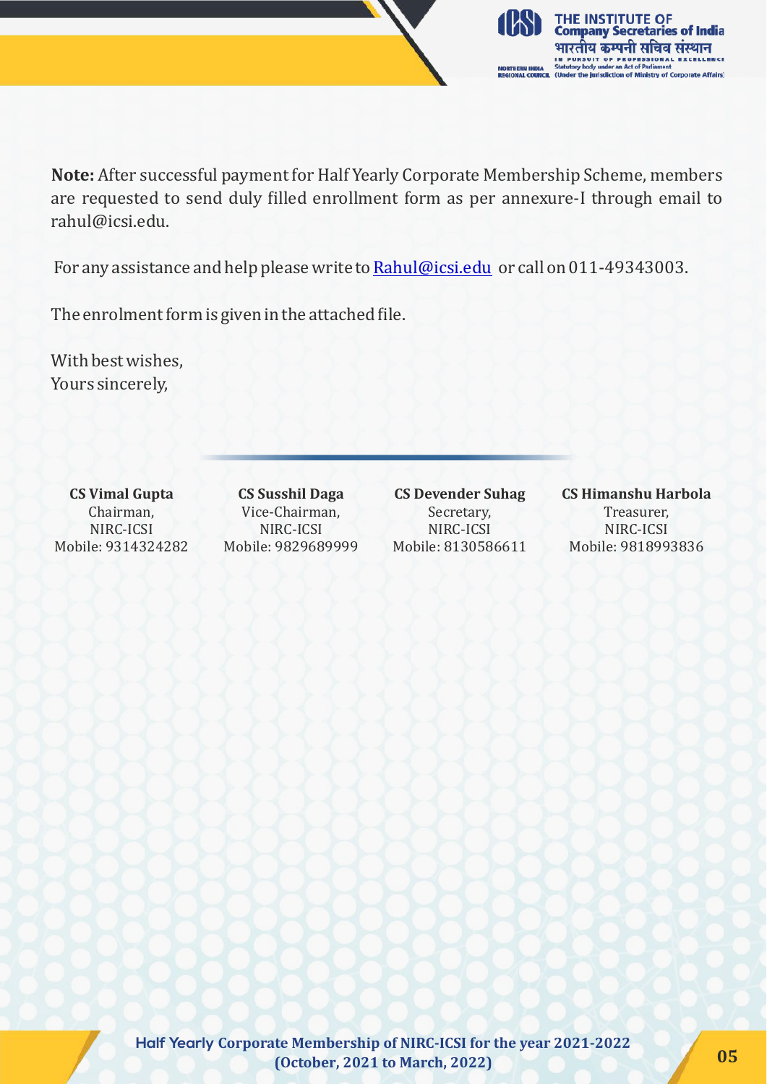

**Note:** After successful payment for Half Yearly Corporate Membership Scheme, members are requested to send duly illed enrollment form as per annexure-I through email to rahul@icsi.edu.

For any assistance and help please write to [Rahul@icsi.edu](mailto:Rahul@icsi.edu) or call on 011-49343003.

The enrolment form is given in the attached file.

With best wishes, Yours sincerely,

**CS Vimal Gupta** Chairman, NIRC-ICSI Mobile: 9314324282

**CS Susshil Daga** Vice-Chairman, NIRC-ICSI Mobile: 9829689999

**CS Devender Suhag** Secretary, NIRC-ICSI Mobile: 8130586611

**CS Himanshu Harbola** Treasurer, NIRC-ICSI Mobile: 9818993836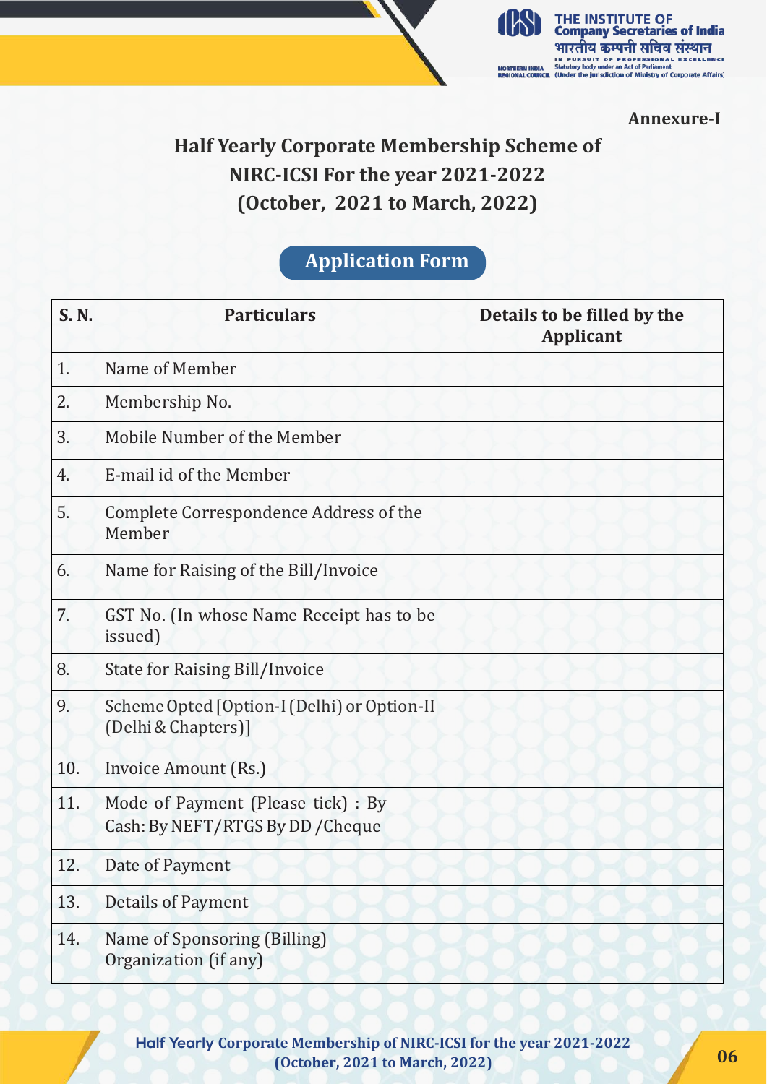

**Annexure-I**

## **Half Yearly Corporate Membership Scheme of NIRC-ICSI For the year 2021-2022 (October, 2021 to March, 2022)**

### **Application Form**

| S. N. | <b>Particulars</b>                                                      | Details to be filled by the<br><b>Applicant</b> |
|-------|-------------------------------------------------------------------------|-------------------------------------------------|
| 1.    | Name of Member                                                          |                                                 |
| 2.    | Membership No.                                                          |                                                 |
| 3.    | Mobile Number of the Member                                             |                                                 |
| 4.    | E-mail id of the Member                                                 |                                                 |
| 5.    | Complete Correspondence Address of the<br>Member                        |                                                 |
| 6.    | Name for Raising of the Bill/Invoice                                    |                                                 |
| 7.    | GST No. (In whose Name Receipt has to be<br>issued)                     |                                                 |
| 8.    | <b>State for Raising Bill/Invoice</b>                                   |                                                 |
| 9.    | Scheme Opted [Option-I (Delhi) or Option-II<br>(Delhi & Chapters)]      |                                                 |
| 10.   | Invoice Amount (Rs.)                                                    |                                                 |
| 11.   | Mode of Payment (Please tick) : By<br>Cash: By NEFT/RTGS By DD / Cheque |                                                 |
| 12.   | Date of Payment                                                         |                                                 |
| 13.   | <b>Details of Payment</b>                                               |                                                 |
| 14.   | Name of Sponsoring (Billing)<br>Organization (if any)                   |                                                 |